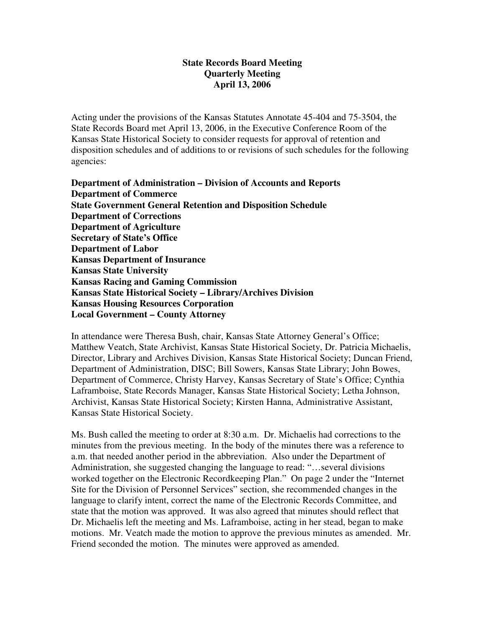### **State Records Board Meeting Quarterly Meeting April 13, 2006**

Acting under the provisions of the Kansas Statutes Annotate 45-404 and 75-3504, the State Records Board met April 13, 2006, in the Executive Conference Room of the Kansas State Historical Society to consider requests for approval of retention and disposition schedules and of additions to or revisions of such schedules for the following agencies:

**Department of Administration – Division of Accounts and Reports Department of Commerce State Government General Retention and Disposition Schedule Department of Corrections Department of Agriculture Secretary of State's Office Department of Labor Kansas Department of Insurance Kansas State University Kansas Racing and Gaming Commission Kansas State Historical Society – Library/Archives Division Kansas Housing Resources Corporation Local Government – County Attorney**

In attendance were Theresa Bush, chair, Kansas State Attorney General's Office; Matthew Veatch, State Archivist, Kansas State Historical Society, Dr. Patricia Michaelis, Director, Library and Archives Division, Kansas State Historical Society; Duncan Friend, Department of Administration, DISC; Bill Sowers, Kansas State Library; John Bowes, Department of Commerce, Christy Harvey, Kansas Secretary of State's Office; Cynthia Laframboise, State Records Manager, Kansas State Historical Society; Letha Johnson, Archivist, Kansas State Historical Society; Kirsten Hanna, Administrative Assistant, Kansas State Historical Society.

Ms. Bush called the meeting to order at 8:30 a.m. Dr. Michaelis had corrections to the minutes from the previous meeting. In the body of the minutes there was a reference to a.m. that needed another period in the abbreviation. Also under the Department of Administration, she suggested changing the language to read: "…several divisions worked together on the Electronic Recordkeeping Plan." On page 2 under the "Internet Site for the Division of Personnel Services" section, she recommended changes in the language to clarify intent, correct the name of the Electronic Records Committee, and state that the motion was approved. It was also agreed that minutes should reflect that Dr. Michaelis left the meeting and Ms. Laframboise, acting in her stead, began to make motions. Mr. Veatch made the motion to approve the previous minutes as amended. Mr. Friend seconded the motion. The minutes were approved as amended.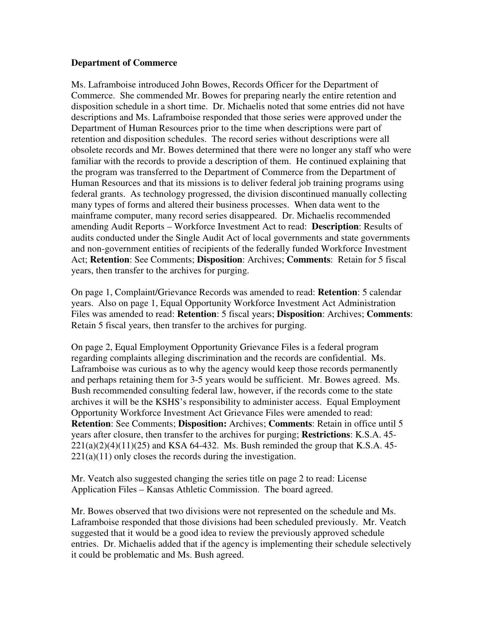#### **Department of Commerce**

Ms. Laframboise introduced John Bowes, Records Officer for the Department of Commerce. She commended Mr. Bowes for preparing nearly the entire retention and disposition schedule in a short time. Dr. Michaelis noted that some entries did not have descriptions and Ms. Laframboise responded that those series were approved under the Department of Human Resources prior to the time when descriptions were part of retention and disposition schedules. The record series without descriptions were all obsolete records and Mr. Bowes determined that there were no longer any staff who were familiar with the records to provide a description of them. He continued explaining that the program was transferred to the Department of Commerce from the Department of Human Resources and that its missions is to deliver federal job training programs using federal grants. As technology progressed, the division discontinued manually collecting many types of forms and altered their business processes. When data went to the mainframe computer, many record series disappeared. Dr. Michaelis recommended amending Audit Reports – Workforce Investment Act to read: **Description**: Results of audits conducted under the Single Audit Act of local governments and state governments and non-government entities of recipients of the federally funded Workforce Investment Act; **Retention**: See Comments; **Disposition**: Archives; **Comments**: Retain for 5 fiscal years, then transfer to the archives for purging.

On page 1, Complaint/Grievance Records was amended to read: **Retention**: 5 calendar years. Also on page 1, Equal Opportunity Workforce Investment Act Administration Files was amended to read: **Retention**: 5 fiscal years; **Disposition**: Archives; **Comments**: Retain 5 fiscal years, then transfer to the archives for purging.

On page 2, Equal Employment Opportunity Grievance Files is a federal program regarding complaints alleging discrimination and the records are confidential. Ms. Laframboise was curious as to why the agency would keep those records permanently and perhaps retaining them for 3-5 years would be sufficient. Mr. Bowes agreed. Ms. Bush recommended consulting federal law, however, if the records come to the state archives it will be the KSHS's responsibility to administer access. Equal Employment Opportunity Workforce Investment Act Grievance Files were amended to read: **Retention**: See Comments; **Disposition:** Archives; **Comments**: Retain in office until 5 years after closure, then transfer to the archives for purging; **Restrictions**: K.S.A. 45-  $221(a)(2)(4)(11)(25)$  and KSA 64-432. Ms. Bush reminded the group that K.S.A. 45- $221(a)(11)$  only closes the records during the investigation.

Mr. Veatch also suggested changing the series title on page 2 to read: License Application Files – Kansas Athletic Commission. The board agreed.

Mr. Bowes observed that two divisions were not represented on the schedule and Ms. Laframboise responded that those divisions had been scheduled previously. Mr. Veatch suggested that it would be a good idea to review the previously approved schedule entries. Dr. Michaelis added that if the agency is implementing their schedule selectively it could be problematic and Ms. Bush agreed.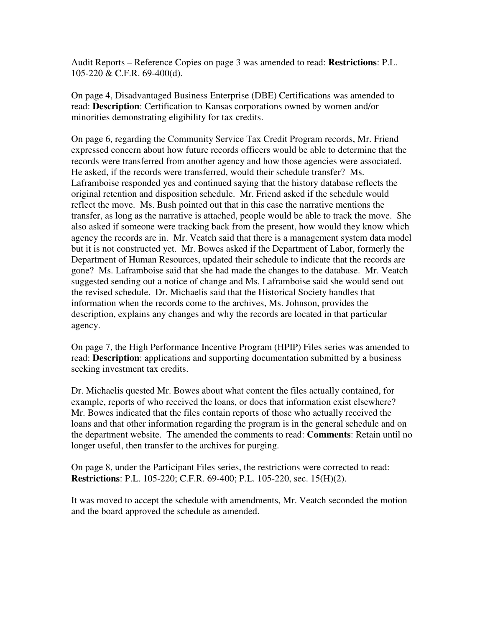Audit Reports – Reference Copies on page 3 was amended to read: **Restrictions**: P.L. 105-220 & C.F.R. 69-400(d).

On page 4, Disadvantaged Business Enterprise (DBE) Certifications was amended to read: **Description**: Certification to Kansas corporations owned by women and/or minorities demonstrating eligibility for tax credits.

On page 6, regarding the Community Service Tax Credit Program records, Mr. Friend expressed concern about how future records officers would be able to determine that the records were transferred from another agency and how those agencies were associated. He asked, if the records were transferred, would their schedule transfer? Ms. Laframboise responded yes and continued saying that the history database reflects the original retention and disposition schedule. Mr. Friend asked if the schedule would reflect the move. Ms. Bush pointed out that in this case the narrative mentions the transfer, as long as the narrative is attached, people would be able to track the move. She also asked if someone were tracking back from the present, how would they know which agency the records are in. Mr. Veatch said that there is a management system data model but it is not constructed yet. Mr. Bowes asked if the Department of Labor, formerly the Department of Human Resources, updated their schedule to indicate that the records are gone? Ms. Laframboise said that she had made the changes to the database. Mr. Veatch suggested sending out a notice of change and Ms. Laframboise said she would send out the revised schedule. Dr. Michaelis said that the Historical Society handles that information when the records come to the archives, Ms. Johnson, provides the description, explains any changes and why the records are located in that particular agency.

On page 7, the High Performance Incentive Program (HPIP) Files series was amended to read: **Description**: applications and supporting documentation submitted by a business seeking investment tax credits.

Dr. Michaelis quested Mr. Bowes about what content the files actually contained, for example, reports of who received the loans, or does that information exist elsewhere? Mr. Bowes indicated that the files contain reports of those who actually received the loans and that other information regarding the program is in the general schedule and on the department website. The amended the comments to read: **Comments**: Retain until no longer useful, then transfer to the archives for purging.

On page 8, under the Participant Files series, the restrictions were corrected to read: **Restrictions**: P.L. 105-220; C.F.R. 69-400; P.L. 105-220, sec. 15(H)(2).

It was moved to accept the schedule with amendments, Mr. Veatch seconded the motion and the board approved the schedule as amended.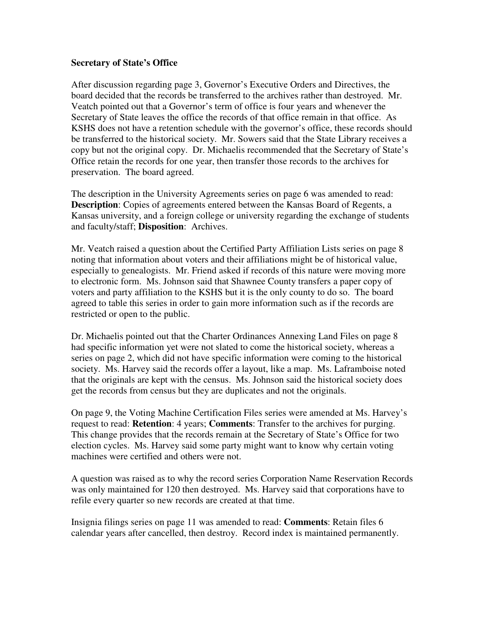#### **Secretary of State's Office**

After discussion regarding page 3, Governor's Executive Orders and Directives, the board decided that the records be transferred to the archives rather than destroyed. Mr. Veatch pointed out that a Governor's term of office is four years and whenever the Secretary of State leaves the office the records of that office remain in that office. As KSHS does not have a retention schedule with the governor's office, these records should be transferred to the historical society. Mr. Sowers said that the State Library receives a copy but not the original copy. Dr. Michaelis recommended that the Secretary of State's Office retain the records for one year, then transfer those records to the archives for preservation. The board agreed.

The description in the University Agreements series on page 6 was amended to read: **Description**: Copies of agreements entered between the Kansas Board of Regents, a Kansas university, and a foreign college or university regarding the exchange of students and faculty/staff; **Disposition**: Archives.

Mr. Veatch raised a question about the Certified Party Affiliation Lists series on page 8 noting that information about voters and their affiliations might be of historical value, especially to genealogists. Mr. Friend asked if records of this nature were moving more to electronic form. Ms. Johnson said that Shawnee County transfers a paper copy of voters and party affiliation to the KSHS but it is the only county to do so. The board agreed to table this series in order to gain more information such as if the records are restricted or open to the public.

Dr. Michaelis pointed out that the Charter Ordinances Annexing Land Files on page 8 had specific information yet were not slated to come the historical society, whereas a series on page 2, which did not have specific information were coming to the historical society. Ms. Harvey said the records offer a layout, like a map. Ms. Laframboise noted that the originals are kept with the census. Ms. Johnson said the historical society does get the records from census but they are duplicates and not the originals.

On page 9, the Voting Machine Certification Files series were amended at Ms. Harvey's request to read: **Retention**: 4 years; **Comments**: Transfer to the archives for purging. This change provides that the records remain at the Secretary of State's Office for two election cycles. Ms. Harvey said some party might want to know why certain voting machines were certified and others were not.

A question was raised as to why the record series Corporation Name Reservation Records was only maintained for 120 then destroyed. Ms. Harvey said that corporations have to refile every quarter so new records are created at that time.

Insignia filings series on page 11 was amended to read: **Comments**: Retain files 6 calendar years after cancelled, then destroy. Record index is maintained permanently.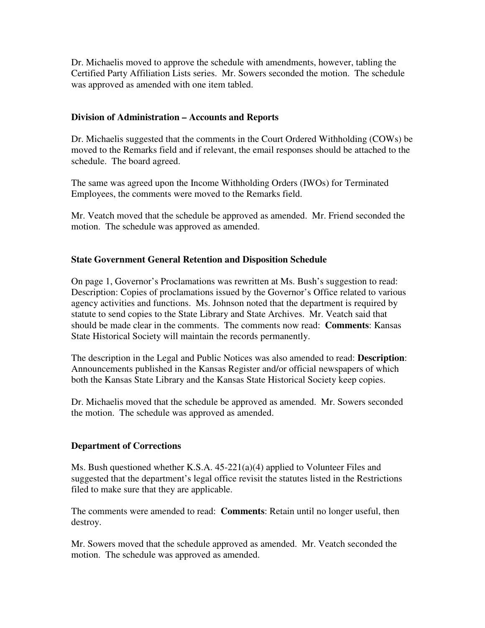Dr. Michaelis moved to approve the schedule with amendments, however, tabling the Certified Party Affiliation Lists series. Mr. Sowers seconded the motion. The schedule was approved as amended with one item tabled.

## **Division of Administration – Accounts and Reports**

Dr. Michaelis suggested that the comments in the Court Ordered Withholding (COWs) be moved to the Remarks field and if relevant, the email responses should be attached to the schedule. The board agreed.

The same was agreed upon the Income Withholding Orders (IWOs) for Terminated Employees, the comments were moved to the Remarks field.

Mr. Veatch moved that the schedule be approved as amended. Mr. Friend seconded the motion. The schedule was approved as amended.

### **State Government General Retention and Disposition Schedule**

On page 1, Governor's Proclamations was rewritten at Ms. Bush's suggestion to read: Description: Copies of proclamations issued by the Governor's Office related to various agency activities and functions. Ms. Johnson noted that the department is required by statute to send copies to the State Library and State Archives. Mr. Veatch said that should be made clear in the comments. The comments now read: **Comments**: Kansas State Historical Society will maintain the records permanently.

The description in the Legal and Public Notices was also amended to read: **Description**: Announcements published in the Kansas Register and/or official newspapers of which both the Kansas State Library and the Kansas State Historical Society keep copies.

Dr. Michaelis moved that the schedule be approved as amended. Mr. Sowers seconded the motion. The schedule was approved as amended.

#### **Department of Corrections**

Ms. Bush questioned whether K.S.A. 45-221(a)(4) applied to Volunteer Files and suggested that the department's legal office revisit the statutes listed in the Restrictions filed to make sure that they are applicable.

The comments were amended to read: **Comments**: Retain until no longer useful, then destroy.

Mr. Sowers moved that the schedule approved as amended. Mr. Veatch seconded the motion. The schedule was approved as amended.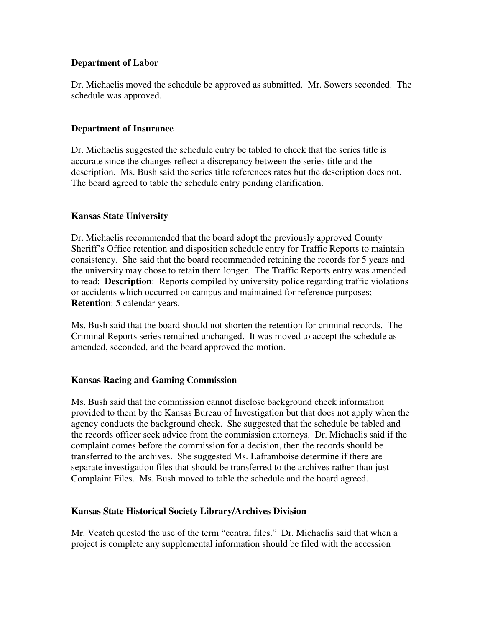### **Department of Labor**

Dr. Michaelis moved the schedule be approved as submitted. Mr. Sowers seconded. The schedule was approved.

### **Department of Insurance**

Dr. Michaelis suggested the schedule entry be tabled to check that the series title is accurate since the changes reflect a discrepancy between the series title and the description. Ms. Bush said the series title references rates but the description does not. The board agreed to table the schedule entry pending clarification.

### **Kansas State University**

Dr. Michaelis recommended that the board adopt the previously approved County Sheriff's Office retention and disposition schedule entry for Traffic Reports to maintain consistency. She said that the board recommended retaining the records for 5 years and the university may chose to retain them longer. The Traffic Reports entry was amended to read: **Description**: Reports compiled by university police regarding traffic violations or accidents which occurred on campus and maintained for reference purposes; **Retention**: 5 calendar years.

Ms. Bush said that the board should not shorten the retention for criminal records. The Criminal Reports series remained unchanged. It was moved to accept the schedule as amended, seconded, and the board approved the motion.

# **Kansas Racing and Gaming Commission**

Ms. Bush said that the commission cannot disclose background check information provided to them by the Kansas Bureau of Investigation but that does not apply when the agency conducts the background check. She suggested that the schedule be tabled and the records officer seek advice from the commission attorneys. Dr. Michaelis said if the complaint comes before the commission for a decision, then the records should be transferred to the archives. She suggested Ms. Laframboise determine if there are separate investigation files that should be transferred to the archives rather than just Complaint Files. Ms. Bush moved to table the schedule and the board agreed.

#### **Kansas State Historical Society Library/Archives Division**

Mr. Veatch quested the use of the term "central files." Dr. Michaelis said that when a project is complete any supplemental information should be filed with the accession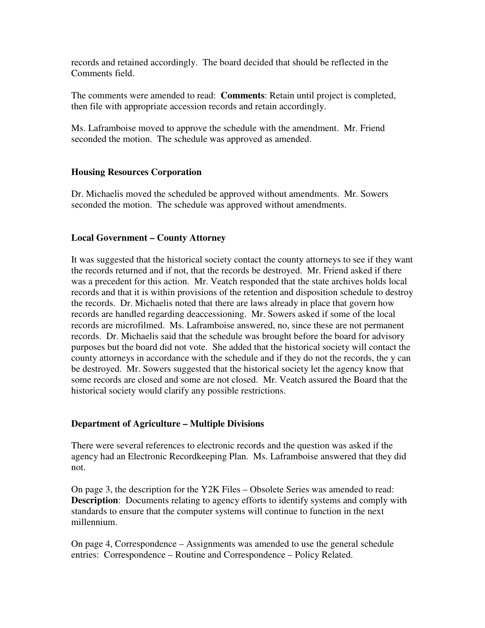records and retained accordingly. The board decided that should be reflected in the Comments field.

The comments were amended to read: **Comments**: Retain until project is completed, then file with appropriate accession records and retain accordingly.

Ms. Laframboise moved to approve the schedule with the amendment. Mr. Friend seconded the motion. The schedule was approved as amended.

#### **Housing Resources Corporation**

Dr. Michaelis moved the scheduled be approved without amendments. Mr. Sowers seconded the motion. The schedule was approved without amendments.

### **Local Government – County Attorney**

It was suggested that the historical society contact the county attorneys to see if they want the records returned and if not, that the records be destroyed. Mr. Friend asked if there was a precedent for this action. Mr. Veatch responded that the state archives holds local records and that it is within provisions of the retention and disposition schedule to destroy the records. Dr. Michaelis noted that there are laws already in place that govern how records are handled regarding deaccessioning. Mr. Sowers asked if some of the local records are microfilmed. Ms. Laframboise answered, no, since these are not permanent records. Dr. Michaelis said that the schedule was brought before the board for advisory purposes but the board did not vote. She added that the historical society will contact the county attorneys in accordance with the schedule and if they do not the records, the y can be destroyed. Mr. Sowers suggested that the historical society let the agency know that some records are closed and some are not closed. Mr. Veatch assured the Board that the historical society would clarify any possible restrictions.

# **Department of Agriculture – Multiple Divisions**

There were several references to electronic records and the question was asked if the agency had an Electronic Recordkeeping Plan. Ms. Laframboise answered that they did not.

On page 3, the description for the Y2K Files – Obsolete Series was amended to read: **Description**: Documents relating to agency efforts to identify systems and comply with standards to ensure that the computer systems will continue to function in the next millennium.

On page 4, Correspondence – Assignments was amended to use the general schedule entries: Correspondence – Routine and Correspondence – Policy Related.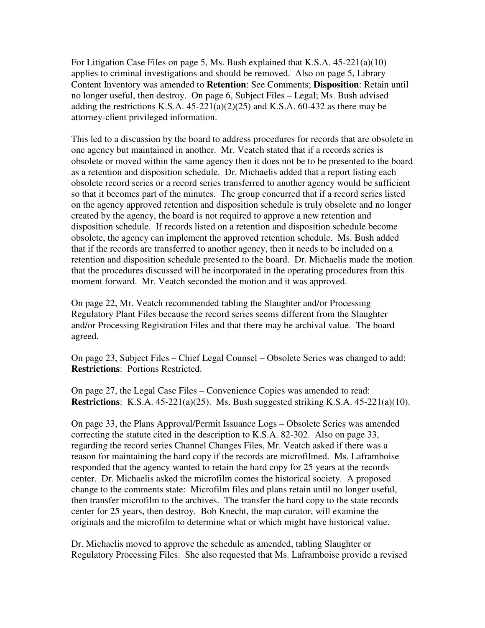For Litigation Case Files on page 5, Ms. Bush explained that K.S.A. 45-221(a)(10) applies to criminal investigations and should be removed. Also on page 5, Library Content Inventory was amended to **Retention**: See Comments; **Disposition**: Retain until no longer useful, then destroy. On page 6, Subject Files – Legal; Ms. Bush advised adding the restrictions K.S.A.  $45-221(a)(2)(25)$  and K.S.A.  $60-432$  as there may be attorney-client privileged information.

This led to a discussion by the board to address procedures for records that are obsolete in one agency but maintained in another. Mr. Veatch stated that if a records series is obsolete or moved within the same agency then it does not be to be presented to the board as a retention and disposition schedule. Dr. Michaelis added that a report listing each obsolete record series or a record series transferred to another agency would be sufficient so that it becomes part of the minutes. The group concurred that if a record series listed on the agency approved retention and disposition schedule is truly obsolete and no longer created by the agency, the board is not required to approve a new retention and disposition schedule. If records listed on a retention and disposition schedule become obsolete, the agency can implement the approved retention schedule. Ms. Bush added that if the records are transferred to another agency, then it needs to be included on a retention and disposition schedule presented to the board. Dr. Michaelis made the motion that the procedures discussed will be incorporated in the operating procedures from this moment forward. Mr. Veatch seconded the motion and it was approved.

On page 22, Mr. Veatch recommended tabling the Slaughter and/or Processing Regulatory Plant Files because the record series seems different from the Slaughter and/or Processing Registration Files and that there may be archival value. The board agreed.

On page 23, Subject Files – Chief Legal Counsel – Obsolete Series was changed to add: **Restrictions**: Portions Restricted.

On page 27, the Legal Case Files – Convenience Copies was amended to read: **Restrictions**: K.S.A. 45-221(a)(25). Ms. Bush suggested striking K.S.A. 45-221(a)(10).

On page 33, the Plans Approval/Permit Issuance Logs – Obsolete Series was amended correcting the statute cited in the description to K.S.A. 82-302. Also on page 33, regarding the record series Channel Changes Files, Mr. Veatch asked if there was a reason for maintaining the hard copy if the records are microfilmed. Ms. Laframboise responded that the agency wanted to retain the hard copy for 25 years at the records center. Dr. Michaelis asked the microfilm comes the historical society. A proposed change to the comments state: Microfilm files and plans retain until no longer useful, then transfer microfilm to the archives. The transfer the hard copy to the state records center for 25 years, then destroy. Bob Knecht, the map curator, will examine the originals and the microfilm to determine what or which might have historical value.

Dr. Michaelis moved to approve the schedule as amended, tabling Slaughter or Regulatory Processing Files. She also requested that Ms. Laframboise provide a revised